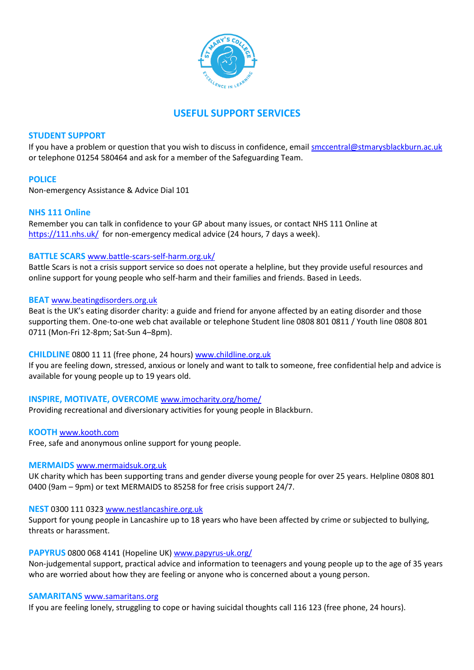

# **USEFUL SUPPORT SERVICES**

## **STUDENT SUPPORT**

If you have a problem or question that you wish to discuss in confidence, email [smccentral@stmarysblackburn.ac.uk](mailto:smccentral@stmarysblackburn.ac.uk) or telephone 01254 580464 and ask for a member of the Safeguarding Team.

# **POLICE**

Non-emergency Assistance & Advice Dial 101

## **NHS 111 Online**

Remember you can talk in confidence to your GP about many issues, or contact NHS 111 Online at <https://111.nhs.uk/>for non-emergency medical advice (24 hours, 7 days a week).

## **BATTLE SCARS** [www.battle-scars-self-harm.org.uk/](http://www.battle-scars-self-harm.org.uk/)

Battle Scars is not a crisis support service so does not operate a helpline, but they provide useful resources and online support for young people who self-harm and their families and friends. Based in Leeds.

## **BEAT** [www.beatingdisorders.org.uk](http://www.beatingdisorders.org.uk/)

Beat is the UK's eating disorder charity: a guide and friend for anyone affected by an eating disorder and those supporting them. One-to-one web chat available or telephone Student line 0808 801 0811 / Youth line 0808 801 0711 (Mon-Fri 12-8pm; Sat-Sun 4–8pm).

## **CHILDLINE** 0800 11 11 (free phone, 24 hours) [www.childline.org.uk](http://www.childline.org.uk/)

If you are feeling down, stressed, anxious or lonely and want to talk to someone, free confidential help and advice is available for young people up to 19 years old.

# **INSPIRE, MOTIVATE, OVERCOME** [www.imocharity.org/home/](http://www.imocharity.org/home/)

Providing recreational and diversionary activities for young people in Blackburn.

# **KOOTH** [www.kooth.com](http://www.kooth.com/)

Free, safe and anonymous online support for young people.

## **MERMAIDS** [www.mermaidsuk.org.uk](http://www.mermaidsuk.org.uk/)

UK charity which has been supporting trans and gender diverse young people for over 25 years. Helpline 0808 801 0400 (9am – 9pm) or text MERMAIDS to 85258 for free crisis support 24/7.

## **NEST** 0300 111 032[3 www.nestlancashire.org.uk](http://www.nestlancashire.org.uk/)

Support for young people in Lancashire up to 18 years who have been affected by crime or subjected to bullying, threats or harassment.

# **PAPYRUS** 0800 068 4141 (Hopeline UK[\) www.papyrus-uk.org/](http://www.papyrus-uk.org/)

Non-judgemental support, practical advice and information to teenagers and young people up to the age of 35 years who are worried about how they are feeling or anyone who is concerned about a young person.

## **SAMARITANS** [www.samaritans.org](http://www.samaritans.org/)

If you are feeling lonely, struggling to cope or having suicidal thoughts call 116 123 (free phone, 24 hours).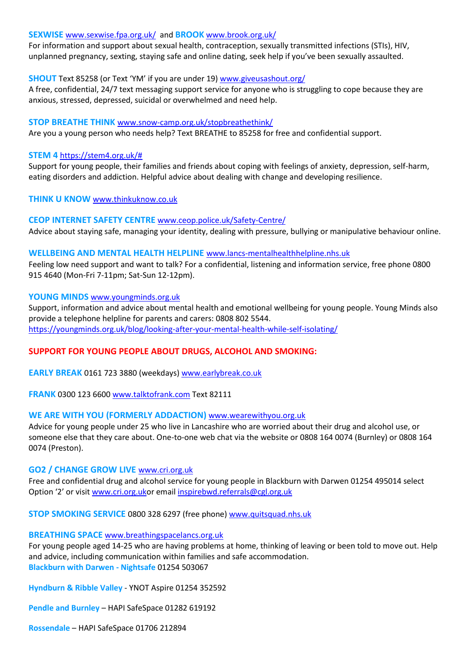## **SEXWISE** [www.sexwise.fpa.org.uk/](http://www.sexwise.fpa.org.uk/) and **BROOK** [www.brook.org.uk/](http://www.brook.org.uk/)

For information and support about sexual health, contraception, sexually transmitted infections (STIs), HIV, unplanned pregnancy, sexting, staying safe and online dating, seek help if you've been sexually assaulted.

## **SHOUT** Text 85258 (or Text 'YM' if you are under 19) [www.giveusashout.org/](http://www.giveusashout.org/)

A free, confidential, 24/7 text messaging support service for anyone who is struggling to cope because they are anxious, stressed, depressed, suicidal or overwhelmed and need help.

## **STOP BREATHE THINK** [www.snow-camp.org.uk/stopbreathethink/](http://www.snow-camp.org.uk/stopbreathethink/)

Are you a young person who needs help? [Text BREATHE to 85258](sms:85258&body=BREATHE) for free and confidential support.

## **STEM 4** [https://stem4.org.uk/#](https://stem4.org.uk/)

Support for young people, their families and friends about coping with feelings of anxiety, depression, self-harm, eating disorders and addiction. Helpful advice about dealing with change and developing resilience.

**THINK U KNOW** [www.thinkuknow.co.uk](http://www.thinkuknow.co.uk/)

## **CEOP INTERNET SAFETY CENTRE** [www.ceop.police.uk/Safety-Centre/](http://www.ceop.police.uk/Safety-Centre/)

Advice about staying safe, managing your identity, dealing with pressure, bullying or manipulative behaviour online.

## **WELLBEING AND MENTAL HEALTH HELPLINE** [www.lancs-mentalhealthhelpline.nhs.uk](http://www.lancs-mentalhealthhelpline.nhs.uk/)

Feeling low need support and want to talk? For a confidential, listening and information service, free phone 0800 915 4640 (Mon-Fri 7-11pm; Sat-Sun 12-12pm).

## **YOUNG MINDS** [www.youngminds.org.uk](http://www.youngminds.org.uk/)

Support, information and advice about mental health and emotional wellbeing for young people. Young Minds also provide a telephone helpline for parents and carers: 0808 802 5544. <https://youngminds.org.uk/blog/looking-after-your-mental-health-while-self-isolating/>

# **SUPPORT FOR YOUNG PEOPLE ABOUT DRUGS, ALCOHOL AND SMOKING:**

**EARLY BREAK** 0161 723 3880 (weekdays) [www.earlybreak.co.uk](http://www.earlybreak.co.uk/)

**FRANK** 0300 123 6600 [www.talktofrank.com](http://www.talktofrank.com/) Text 82111

## **WE ARE WITH YOU (FORMERLY ADDACTION)** [www.wearewithyou.org.uk](http://www.wearewithyou.org.uk/)

Advice for young people under 25 who live in Lancashire who are worried about their drug and alcohol use, or someone else that they care about. One-to-one web chat via the website or 0808 164 0074 (Burnley) or 0808 164 0074 (Preston).

## **GO2 / CHANGE GROW LIVE** [www.cri.org.uk](http://www.cri.org.uk/)

Free and confidential drug and alcohol service for young people in Blackburn with Darwen 01254 495014 select Option '2' or visit [www.cri.org.uko](http://www.cri.org.uk/)r email [inspirebwd.referrals@cgl.org.uk](mailto:inspirebwd.referrals@cgl.org.uk)

**STOP SMOKING SERVICE** 0800 328 6297 (free phone) [www.quitsquad.nhs.uk](http://www.quitsquad.nhs.uk/)

#### **BREATHING SPACE** [www.breathingspacelancs.org.uk](http://www.breathingspacelancs.org.uk/)

For young people aged 14-25 who are having problems at home, thinking of leaving or been told to move out. Help and advice, including communication within families and safe accommodation. **Blackburn with Darwen - Nightsafe** 01254 503067

**Hyndburn & Ribble Valley** - YNOT Aspire 01254 352592

**Pendle and Burnley** – HAPI SafeSpace 01282 619192

**Rossendale** – HAPI SafeSpace 01706 212894